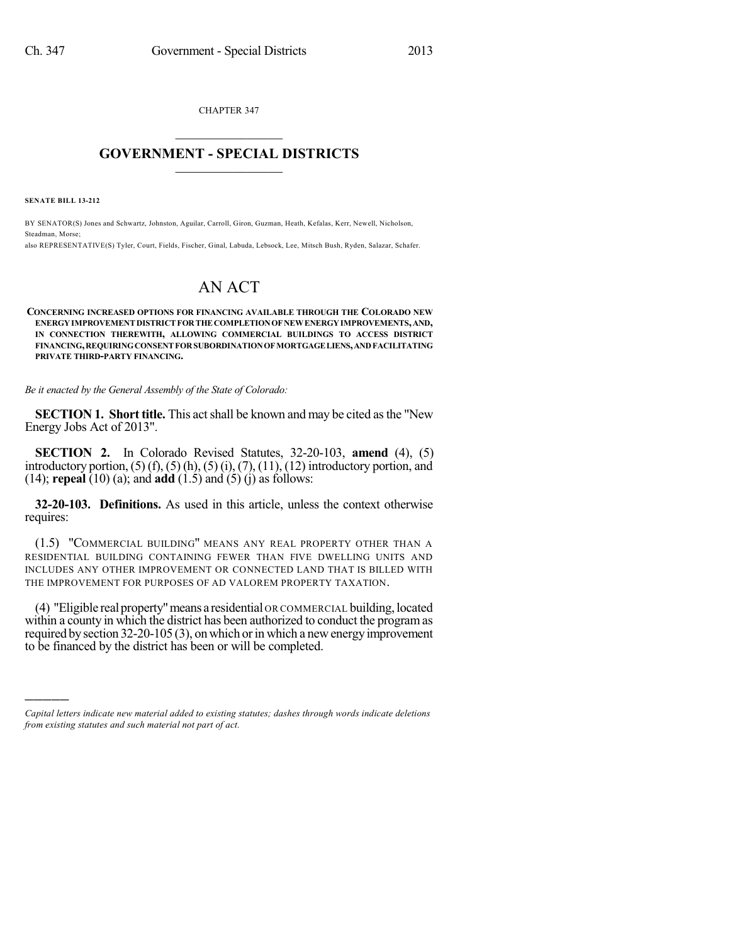CHAPTER 347  $\mathcal{L}_\text{max}$  . The set of the set of the set of the set of the set of the set of the set of the set of the set of the set of the set of the set of the set of the set of the set of the set of the set of the set of the set

## **GOVERNMENT - SPECIAL DISTRICTS**  $\_$   $\_$

**SENATE BILL 13-212**

)))))

BY SENATOR(S) Jones and Schwartz, Johnston, Aguilar, Carroll, Giron, Guzman, Heath, Kefalas, Kerr, Newell, Nicholson, Steadman, Morse;

also REPRESENTATIVE(S) Tyler, Court, Fields, Fischer, Ginal, Labuda, Lebsock, Lee, Mitsch Bush, Ryden, Salazar, Schafer.

## AN ACT

**CONCERNING INCREASED OPTIONS FOR FINANCING AVAILABLE THROUGH THE COLORADO NEW ENERGYIMPROVEMENT DISTRICT FORTHE COMPLETIONOF NEWENERGYIMPROVEMENTS,AND, IN CONNECTION THEREWITH, ALLOWING COMMERCIAL BUILDINGS TO ACCESS DISTRICT FINANCING,REQUIRINGCONSENT FORSUBORDINATIONOF MORTGAGELIENS,ANDFACILITATING PRIVATE THIRD-PARTY FINANCING.**

*Be it enacted by the General Assembly of the State of Colorado:*

**SECTION 1. Short title.** This actshall be known and may be cited asthe "New Energy Jobs Act of 2013".

**SECTION 2.** In Colorado Revised Statutes, 32-20-103, **amend** (4), (5) introductory portion,  $(5)$   $(f)$ ,  $(5)$   $(h)$ ,  $(5)$   $(i)$ ,  $(7)$ ,  $(11)$ ,  $(12)$  introductory portion, and (14); **repeal** (10) (a); and **add** (1.5) and (5) (j) as follows:

**32-20-103. Definitions.** As used in this article, unless the context otherwise requires:

(1.5) "COMMERCIAL BUILDING" MEANS ANY REAL PROPERTY OTHER THAN A RESIDENTIAL BUILDING CONTAINING FEWER THAN FIVE DWELLING UNITS AND INCLUDES ANY OTHER IMPROVEMENT OR CONNECTED LAND THAT IS BILLED WITH THE IMPROVEMENT FOR PURPOSES OF AD VALOREM PROPERTY TAXATION.

(4) "Eligible real property"means a residential OR COMMERCIAL building,located within a county in which the district has been authorized to conduct the programas required by section 32-20-105 (3), on which or in which a new energy improvement to be financed by the district has been or will be completed.

*Capital letters indicate new material added to existing statutes; dashes through words indicate deletions from existing statutes and such material not part of act.*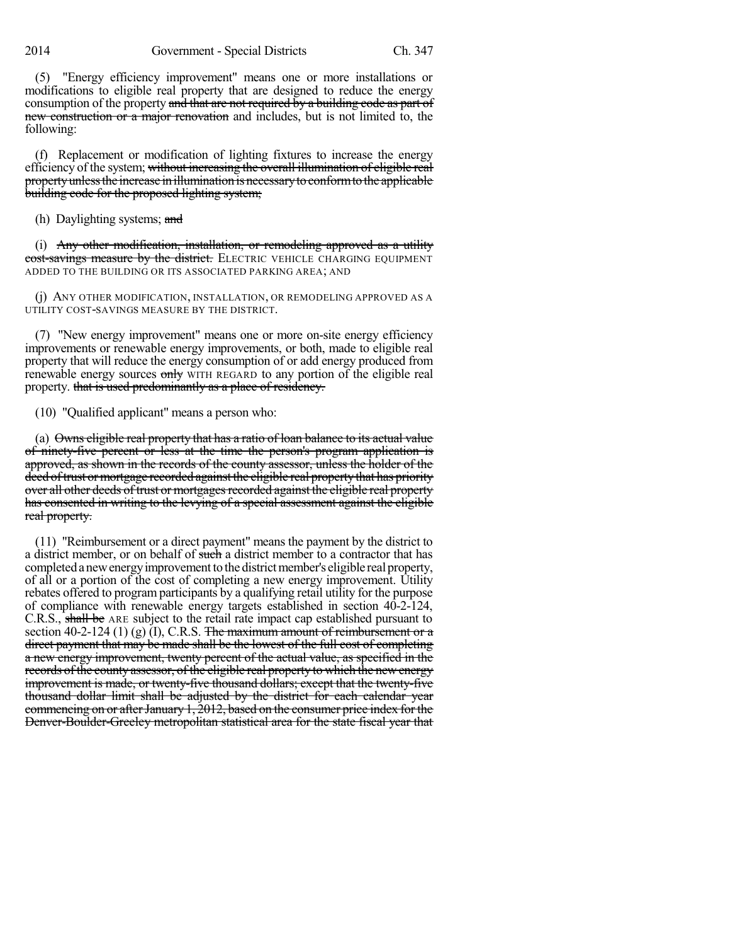(5) "Energy efficiency improvement" means one or more installations or modifications to eligible real property that are designed to reduce the energy consumption of the property and that are not required by a building code as part of new construction or a major renovation and includes, but is not limited to, the following:

(f) Replacement or modification of lighting fixtures to increase the energy efficiency of the system; without increasing the overall illumination of eligible real property unless the increase in illumination is necessary to conform to the applicable building code for the proposed lighting system;

(h) Daylighting systems; and

(i) Any other modification, installation, or remodeling approved as a utility cost-savings measure by the district. ELECTRIC VEHICLE CHARGING EQUIPMENT ADDED TO THE BUILDING OR ITS ASSOCIATED PARKING AREA; AND

(j) ANY OTHER MODIFICATION, INSTALLATION, OR REMODELING APPROVED AS A UTILITY COST-SAVINGS MEASURE BY THE DISTRICT.

(7) "New energy improvement" means one or more on-site energy efficiency improvements or renewable energy improvements, or both, made to eligible real property that will reduce the energy consumption of or add energy produced from renewable energy sources only WITH REGARD to any portion of the eligible real property. that is used predominantly as a place of residency.

(10) "Qualified applicant" means a person who:

(a) Owns eligible real property that has a ratio of loan balance to its actual value of ninety-five percent or less at the time the person's program application is approved, as shown in the records of the county assessor, unless the holder of the deed of trust or mortgage recorded against the eligible real property that has priority over all other deeds of trust or mortgages recorded against the eligible real property has consented in writing to the levying of a special assessment against the eligible real property.

(11) "Reimbursement or a direct payment" means the payment by the district to a district member, or on behalf of such a district member to a contractor that has completed a new energy improvement to the district member's eligible real property, of all or a portion of the cost of completing a new energy improvement. Utility rebates offered to program participants by a qualifying retail utility for the purpose of compliance with renewable energy targets established in section 40-2-124, C.R.S., shall be ARE subject to the retail rate impact cap established pursuant to section 40-2-124 (1) (g) (I), C.R.S. The maximum amount of reimbursement or a direct payment that may be made shall be the lowest of the full cost of completing a new energy improvement, twenty percent of the actual value, as specified in the records ofthe county assessor, of the eligible real property to which the newenergy improvement is made, or twenty-five thousand dollars; except that the twenty-five thousand dollar limit shall be adjusted by the district for each calendar year commencing on or after January 1, 2012, based on the consumer price index for the Denver-Boulder-Greeley metropolitan statistical area for the state fiscal year that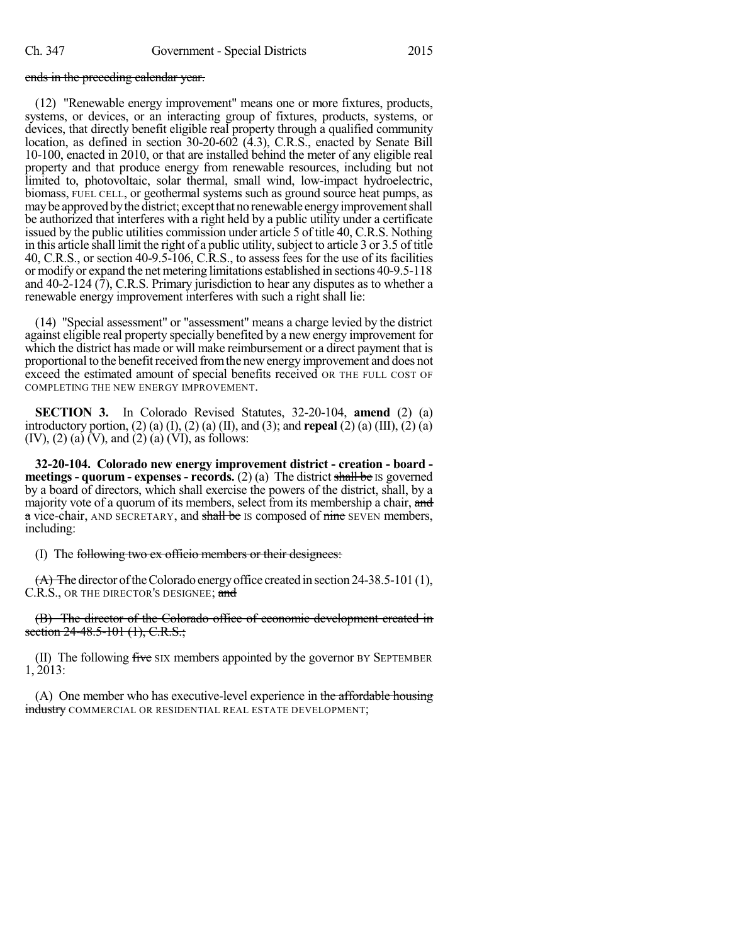## ends in the preceding calendar year.

(12) "Renewable energy improvement" means one or more fixtures, products, systems, or devices, or an interacting group of fixtures, products, systems, or devices, that directly benefit eligible real property through a qualified community location, as defined in section 30-20-602 (4.3), C.R.S., enacted by Senate Bill 10-100, enacted in 2010, or that are installed behind the meter of any eligible real property and that produce energy from renewable resources, including but not limited to, photovoltaic, solar thermal, small wind, low-impact hydroelectric, biomass, FUEL CELL, or geothermal systems such as ground source heat pumps, as may be approved by the district; except that no renewable energy improvement shall be authorized that interferes with a right held by a public utility under a certificate issued by the public utilities commission under article 5 of title 40, C.R.S. Nothing in this article shall limit the right of a public utility, subject to article 3 or 3.5 of title 40, C.R.S., or section 40-9.5-106, C.R.S., to assess fees for the use of its facilities or modify or expand the net metering limitations established in sections 40-9.5-118 and  $40-2-124$   $(7)$ , C.R.S. Primary jurisdiction to hear any disputes as to whether a renewable energy improvement interferes with such a right shall lie:

(14) "Special assessment" or "assessment" means a charge levied by the district against eligible real property specially benefited by a new energy improvement for which the district has made or will make reimbursement or a direct payment that is proportional to the benefit received from the new energy improvement and does not exceed the estimated amount of special benefits received OR THE FULL COST OF COMPLETING THE NEW ENERGY IMPROVEMENT.

**SECTION 3.** In Colorado Revised Statutes, 32-20-104, **amend** (2) (a) introductory portion, (2) (a) (I), (2) (a) (II), and (3); and **repeal** (2) (a) (III), (2) (a)  $(IV), (2) (a) (V),$  and  $(2) (a) (VI),$  as follows:

**32-20-104. Colorado new energy improvement district - creation - board meetings - quorum - expenses - records.** (2) (a) The district shall be IS governed by a board of directors, which shall exercise the powers of the district, shall, by a majority vote of a quorum of its members, select from its membership a chair, and a vice-chair, AND SECRETARY, and shall be IS composed of nine SEVEN members, including:

## (I) The following two ex officio members or their designees:

 $(A)$  The director of the Colorado energy office created in section 24-38.5-101 (1), C.R.S., OR THE DIRECTOR'S DESIGNEE; and

(B) The director of the Colorado office of economic development created in section 24-48.5-101 (1), C.R.S.;

(II) The following five  $\overline{S}$  six members appointed by the governor BY SEPTEMBER 1, 2013:

(A) One member who has executive-level experience in the affordable housing industry COMMERCIAL OR RESIDENTIAL REAL ESTATE DEVELOPMENT;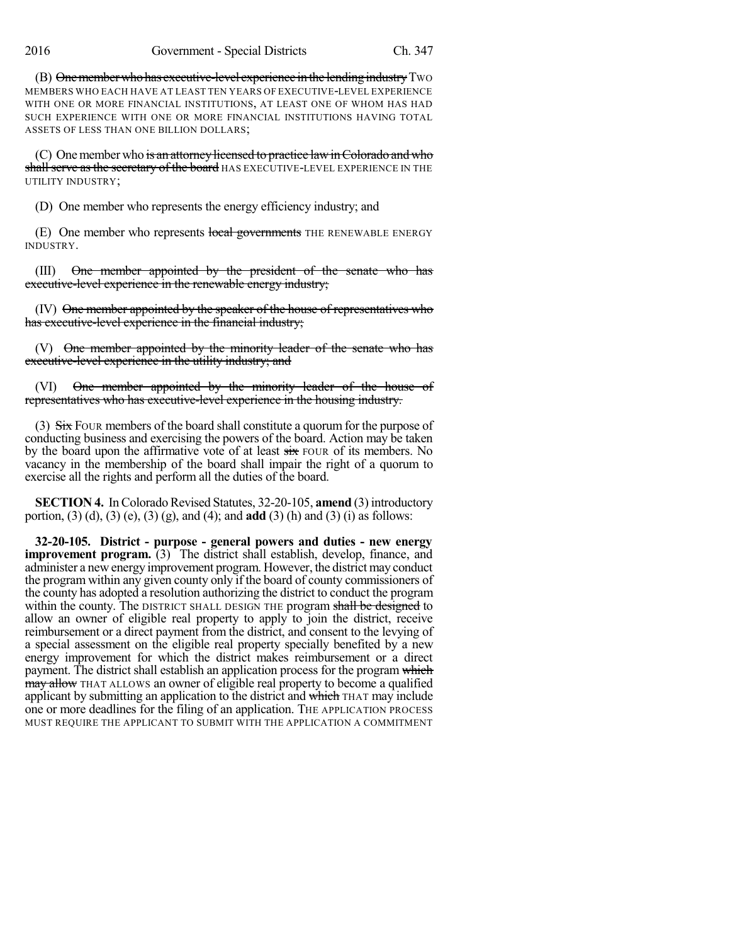(B) One member who has executive-level experience in the lending industry Two MEMBERS WHO EACH HAVE AT LEAST TEN YEARS OF EXECUTIVE-LEVEL EXPERIENCE WITH ONE OR MORE FINANCIAL INSTITUTIONS, AT LEAST ONE OF WHOM HAS HAD SUCH EXPERIENCE WITH ONE OR MORE FINANCIAL INSTITUTIONS HAVING TOTAL ASSETS OF LESS THAN ONE BILLION DOLLARS;

(C) One member who is an attorney licensed to practice law in Colorado and who shall serve as the secretary of the board HAS EXECUTIVE-LEVEL EXPERIENCE IN THE UTILITY INDUSTRY;

(D) One member who represents the energy efficiency industry; and

(E) One member who represents local governments THE RENEWABLE ENERGY INDUSTRY.

(III) One member appointed by the president of the senate who has executive-level experience in the renewable energy industry;

(IV) One member appointed by the speaker of the house of representatives who has executive-level experience in the financial industry;

(V) One member appointed by the minority leader of the senate who has executive-level experience in the utility industry; and

(VI) One member appointed by the minority leader of the house of representatives who has executive-level experience in the housing industry.

(3)  $Six$  Four members of the board shall constitute a quorum for the purpose of conducting business and exercising the powers of the board. Action may be taken by the board upon the affirmative vote of at least  $s$ ix FOUR of its members. No vacancy in the membership of the board shall impair the right of a quorum to exercise all the rights and perform all the duties of the board.

**SECTION 4.** In Colorado Revised Statutes, 32-20-105, **amend** (3) introductory portion, (3) (d), (3) (e), (3) (g), and (4); and **add** (3) (h) and (3) (i) as follows:

**32-20-105. District - purpose - general powers and duties - new energy improvement program.** (3) The district shall establish, develop, finance, and administer a new energy improvement program. However, the district may conduct the program within any given county only if the board of county commissioners of the county has adopted a resolution authorizing the district to conduct the program within the county. The DISTRICT SHALL DESIGN THE program shall be designed to allow an owner of eligible real property to apply to join the district, receive reimbursement or a direct payment from the district, and consent to the levying of a special assessment on the eligible real property specially benefited by a new energy improvement for which the district makes reimbursement or a direct payment. The district shall establish an application process for the program which **may allow** THAT ALLOWS an owner of eligible real property to become a qualified applicant by submitting an application to the district and which THAT may include one or more deadlines for the filing of an application. THE APPLICATION PROCESS MUST REQUIRE THE APPLICANT TO SUBMIT WITH THE APPLICATION A COMMITMENT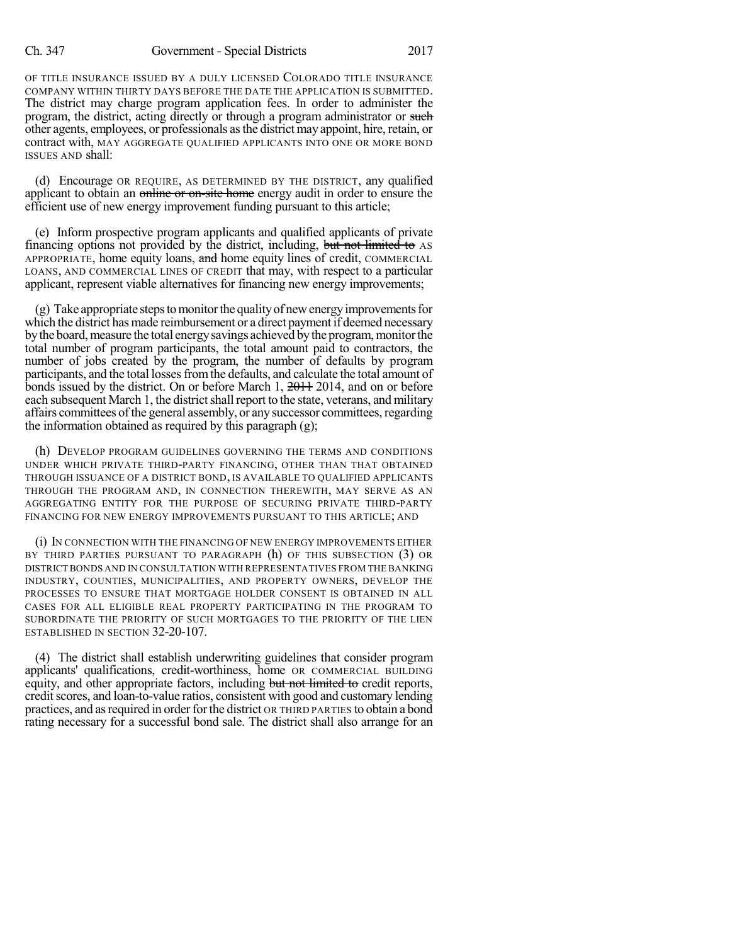OF TITLE INSURANCE ISSUED BY A DULY LICENSED COLORADO TITLE INSURANCE COMPANY WITHIN THIRTY DAYS BEFORE THE DATE THE APPLICATION IS SUBMITTED. The district may charge program application fees. In order to administer the program, the district, acting directly or through a program administrator or such other agents, employees, or professionals asthe districtmay appoint, hire,retain, or contract with, MAY AGGREGATE QUALIFIED APPLICANTS INTO ONE OR MORE BOND ISSUES AND shall:

(d) Encourage OR REQUIRE, AS DETERMINED BY THE DISTRICT, any qualified applicant to obtain an online or on-site home energy audit in order to ensure the efficient use of new energy improvement funding pursuant to this article;

(e) Inform prospective program applicants and qualified applicants of private financing options not provided by the district, including, but not limited to AS APPROPRIATE, home equity loans, and home equity lines of credit, COMMERCIAL LOANS, AND COMMERCIAL LINES OF CREDIT that may, with respect to a particular applicant, represent viable alternatives for financing new energy improvements;

 $(g)$  Take appropriate steps to monitor the quality of new energy improvements for which the district has made reimbursement or a direct payment if deemed necessary by the board, measure the total energy savings achieved by the program, monitor the total number of program participants, the total amount paid to contractors, the number of jobs created by the program, the number of defaults by program participants, and the total losses from the defaults, and calculate the total amount of bonds issued by the district. On or before March 1, 2011, 2014, and on or before each subsequent March 1, the district shall report to the state, veterans, and military affairs committees of the general assembly, or any successor committees, regarding the information obtained as required by this paragraph (g);

(h) DEVELOP PROGRAM GUIDELINES GOVERNING THE TERMS AND CONDITIONS UNDER WHICH PRIVATE THIRD-PARTY FINANCING, OTHER THAN THAT OBTAINED THROUGH ISSUANCE OF A DISTRICT BOND, IS AVAILABLE TO QUALIFIED APPLICANTS THROUGH THE PROGRAM AND, IN CONNECTION THEREWITH, MAY SERVE AS AN AGGREGATING ENTITY FOR THE PURPOSE OF SECURING PRIVATE THIRD-PARTY FINANCING FOR NEW ENERGY IMPROVEMENTS PURSUANT TO THIS ARTICLE; AND

(i) IN CONNECTION WITH THE FINANCING OF NEW ENERGY IMPROVEMENTS EITHER BY THIRD PARTIES PURSUANT TO PARAGRAPH (h) OF THIS SUBSECTION (3) OR DISTRICT BONDS AND IN CONSULTATION WITH REPRESENTATIVES FROM THE BANKING INDUSTRY, COUNTIES, MUNICIPALITIES, AND PROPERTY OWNERS, DEVELOP THE PROCESSES TO ENSURE THAT MORTGAGE HOLDER CONSENT IS OBTAINED IN ALL CASES FOR ALL ELIGIBLE REAL PROPERTY PARTICIPATING IN THE PROGRAM TO SUBORDINATE THE PRIORITY OF SUCH MORTGAGES TO THE PRIORITY OF THE LIEN ESTABLISHED IN SECTION 32-20-107.

(4) The district shall establish underwriting guidelines that consider program applicants' qualifications, credit-worthiness, home OR COMMERCIAL BUILDING equity, and other appropriate factors, including but not limited to credit reports, credit scores, and loan-to-value ratios, consistent with good and customary lending practices, and as required in order for the district OR THIRD PARTIES to obtain a bond rating necessary for a successful bond sale. The district shall also arrange for an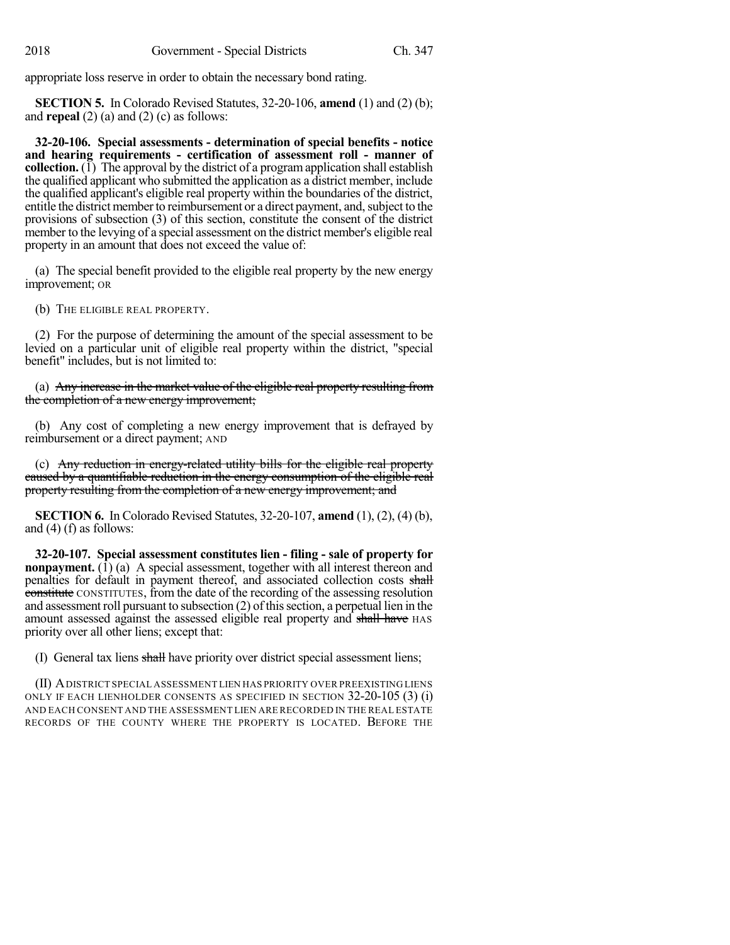appropriate loss reserve in order to obtain the necessary bond rating.

**SECTION 5.** In Colorado Revised Statutes, 32-20-106, **amend** (1) and (2) (b); and **repeal** (2) (a) and (2) (c) as follows:

**32-20-106. Special assessments - determination of special benefits - notice and hearing requirements - certification of assessment roll - manner of collection.** ( $\tilde{I}$ ) The approval by the district of a program application shall establish the qualified applicant who submitted the application as a district member, include the qualified applicant's eligible real property within the boundaries of the district, entitle the district member to reimbursement or a direct payment, and, subject to the provisions of subsection (3) of this section, constitute the consent of the district member to the levying of a special assessment on the district member's eligible real property in an amount that does not exceed the value of:

(a) The special benefit provided to the eligible real property by the new energy improvement; OR

(b) THE ELIGIBLE REAL PROPERTY.

(2) For the purpose of determining the amount of the special assessment to be levied on a particular unit of eligible real property within the district, "special benefit" includes, but is not limited to:

(a) Any increase in the market value of the eligible real property resulting from the completion of a new energy improvement;

(b) Any cost of completing a new energy improvement that is defrayed by reimbursement or a direct payment; AND

(c) Any reduction in energy-related utility bills for the eligible real property caused by a quantifiable reduction in the energy consumption of the eligible real property resulting from the completion of a new energy improvement; and

**SECTION 6.** In Colorado Revised Statutes, 32-20-107, **amend** (1), (2), (4) (b), and (4) (f) as follows:

**32-20-107. Special assessment constitutes lien - filing - sale of property for nonpayment.** (1) (a) A special assessment, together with all interest thereon and penalties for default in payment thereof, and associated collection costs shall constitute CONSTITUTES, from the date of the recording of the assessing resolution and assessment roll pursuant to subsection (2) of this section, a perpetual lien in the amount assessed against the assessed eligible real property and shall have HAS priority over all other liens; except that:

(I) General tax liens shall have priority over district special assessment liens;

(II) ADISTRICT SPECIAL ASSESSMENT LIEN HAS PRIORITY OVER PREEXISTING LIENS ONLY IF EACH LIENHOLDER CONSENTS AS SPECIFIED IN SECTION 32-20-105 (3) (i) AND EACH CONSENT AND THE ASSESSMENT LIEN ARE RECORDED IN THE REAL ESTATE RECORDS OF THE COUNTY WHERE THE PROPERTY IS LOCATED. BEFORE THE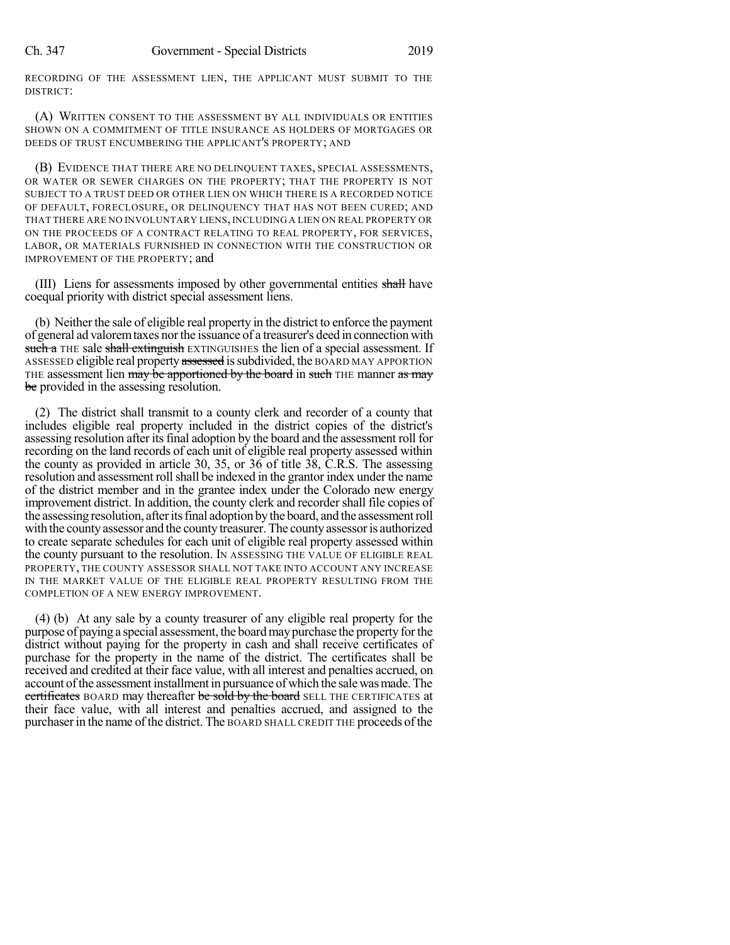RECORDING OF THE ASSESSMENT LIEN, THE APPLICANT MUST SUBMIT TO THE DISTRICT:

(A) WRITTEN CONSENT TO THE ASSESSMENT BY ALL INDIVIDUALS OR ENTITIES SHOWN ON A COMMITMENT OF TITLE INSURANCE AS HOLDERS OF MORTGAGES OR DEEDS OF TRUST ENCUMBERING THE APPLICANT'S PROPERTY; AND

(B) EVIDENCE THAT THERE ARE NO DELINQUENT TAXES, SPECIAL ASSESSMENTS, OR WATER OR SEWER CHARGES ON THE PROPERTY; THAT THE PROPERTY IS NOT SUBJECT TO A TRUST DEED OR OTHER LIEN ON WHICH THERE IS A RECORDED NOTICE OF DEFAULT, FORECLOSURE, OR DELINQUENCY THAT HAS NOT BEEN CURED; AND THAT THERE ARE NO INVOLUNTARY LIENS, INCLUDING A LIEN ON REAL PROPERTY OR ON THE PROCEEDS OF A CONTRACT RELATING TO REAL PROPERTY, FOR SERVICES, LABOR, OR MATERIALS FURNISHED IN CONNECTION WITH THE CONSTRUCTION OR IMPROVEMENT OF THE PROPERTY; and

(III) Liens for assessments imposed by other governmental entities shall have coequal priority with district special assessment liens.

(b) Neither the sale of eligible real property in the district to enforce the payment of general ad valoremtaxes northe issuance of a treasurer's deed in connection with such a THE sale shall extinguish EXTINGUISHES the lien of a special assessment. If ASSESSED eligible real property assessed is subdivided, the BOARD MAY APPORTION THE assessment lien may be apportioned by the board in such THE manner as may be provided in the assessing resolution.

(2) The district shall transmit to a county clerk and recorder of a county that includes eligible real property included in the district copies of the district's assessing resolution after its final adoption by the board and the assessment roll for recording on the land records of each unit of eligible real property assessed within the county as provided in article 30, 35, or 36 of title 38, C.R.S. The assessing resolution and assessment roll shall be indexed in the grantor index under the name of the district member and in the grantee index under the Colorado new energy improvement district. In addition, the county clerk and recordershall file copies of the assessing resolution, afteritsfinal adoption bythe board, and the assessmentroll with the county assessor and the county treasurer. The county assessor is authorized to create separate schedules for each unit of eligible real property assessed within the county pursuant to the resolution. IN ASSESSING THE VALUE OF ELIGIBLE REAL PROPERTY, THE COUNTY ASSESSOR SHALL NOT TAKE INTO ACCOUNT ANY INCREASE IN THE MARKET VALUE OF THE ELIGIBLE REAL PROPERTY RESULTING FROM THE COMPLETION OF A NEW ENERGY IMPROVEMENT.

(4) (b) At any sale by a county treasurer of any eligible real property for the purpose of paying a special assessment, the boardmaypurchase the property forthe district without paying for the property in cash and shall receive certificates of purchase for the property in the name of the district. The certificates shall be received and credited at their face value, with all interest and penalties accrued, on account of the assessment installment in pursuance of which the sale was made. The certificates BOARD may thereafter be sold by the board SELL THE CERTIFICATES at their face value, with all interest and penalties accrued, and assigned to the purchaserin the name of the district. The BOARD SHALL CREDIT THE proceeds ofthe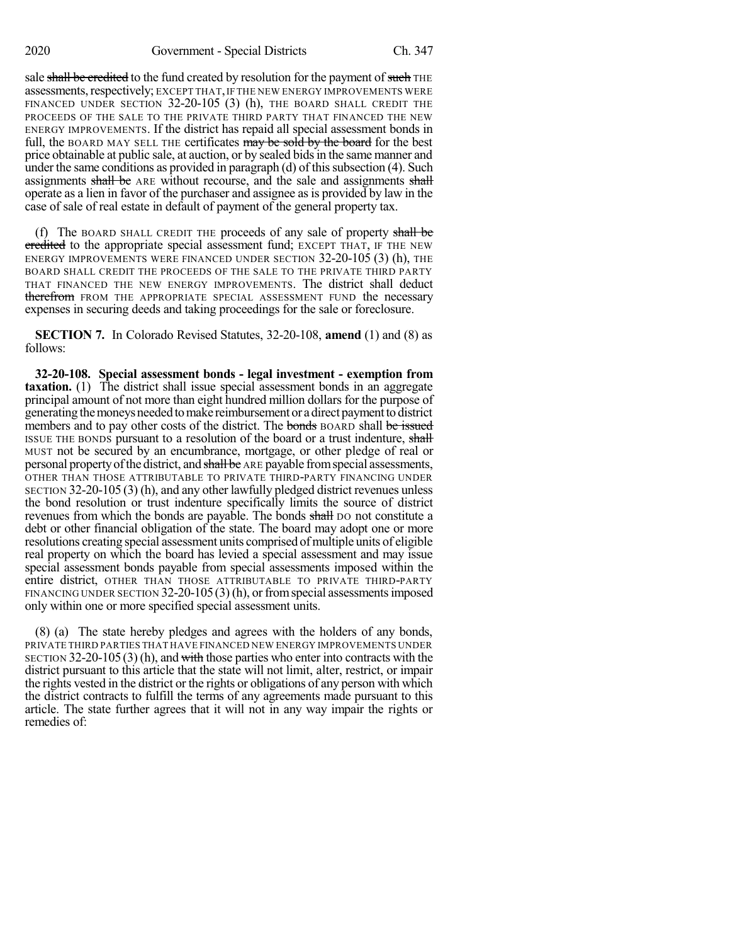sale shall be credited to the fund created by resolution for the payment of such THE assessments, respectively; EXCEPT THAT, IF THE NEW ENERGY IMPROVEMENTS WERE FINANCED UNDER SECTION 32-20-105 (3) (h), THE BOARD SHALL CREDIT THE PROCEEDS OF THE SALE TO THE PRIVATE THIRD PARTY THAT FINANCED THE NEW ENERGY IMPROVEMENTS. If the district has repaid all special assessment bonds in full, the BOARD MAY SELL THE certificates may be sold by the board for the best price obtainable at public sale, at auction, or by sealed bidsin the same manner and under the same conditions as provided in paragraph (d) of thissubsection (4). Such assignments shall be ARE without recourse, and the sale and assignments shall operate as a lien in favor of the purchaser and assignee as is provided by law in the case of sale of real estate in default of payment of the general property tax.

(f) The BOARD SHALL CREDIT THE proceeds of any sale of property shall be credited to the appropriate special assessment fund; EXCEPT THAT, IF THE NEW ENERGY IMPROVEMENTS WERE FINANCED UNDER SECTION 32-20-105 (3) (h), THE BOARD SHALL CREDIT THE PROCEEDS OF THE SALE TO THE PRIVATE THIRD PARTY THAT FINANCED THE NEW ENERGY IMPROVEMENTS. The district shall deduct therefrom FROM THE APPROPRIATE SPECIAL ASSESSMENT FUND the necessary expenses in securing deeds and taking proceedings for the sale or foreclosure.

**SECTION 7.** In Colorado Revised Statutes, 32-20-108, **amend** (1) and (8) as follows:

**32-20-108. Special assessment bonds - legal investment - exemption from taxation.** (1) The district shall issue special assessment bonds in an aggregate principal amount of not more than eight hundred million dollars for the purpose of generating the moneys needed to make reimbursement or a direct payment to district members and to pay other costs of the district. The bonds BOARD shall be issued ISSUE THE BONDS pursuant to a resolution of the board or a trust indenture, shall MUST not be secured by an encumbrance, mortgage, or other pledge of real or personal property of the district, and shall be ARE payable from special assessments, OTHER THAN THOSE ATTRIBUTABLE TO PRIVATE THIRD-PARTY FINANCING UNDER SECTION 32-20-105 (3) (h), and any other lawfully pledged district revenues unless the bond resolution or trust indenture specifically limits the source of district revenues from which the bonds are payable. The bonds shall po not constitute a debt or other financial obligation of the state. The board may adopt one or more resolutions creating special assessment units comprised of multiple units of eligible real property on which the board has levied a special assessment and may issue special assessment bonds payable from special assessments imposed within the entire district, OTHER THAN THOSE ATTRIBUTABLE TO PRIVATE THIRD-PARTY FINANCING UNDER SECTION  $32-20-105(3)$  (h), or from special assessments imposed only within one or more specified special assessment units.

(8) (a) The state hereby pledges and agrees with the holders of any bonds, PRIVATE THIRD PARTIES THAT HAVE FINANCED NEW ENERGY IMPROVEMENTS UNDER SECTION 32-20-105 (3) (h), and with those parties who enter into contracts with the district pursuant to this article that the state will not limit, alter, restrict, or impair the rights vested in the district or the rights or obligations of any person with which the district contracts to fulfill the terms of any agreements made pursuant to this article. The state further agrees that it will not in any way impair the rights or remedies of: